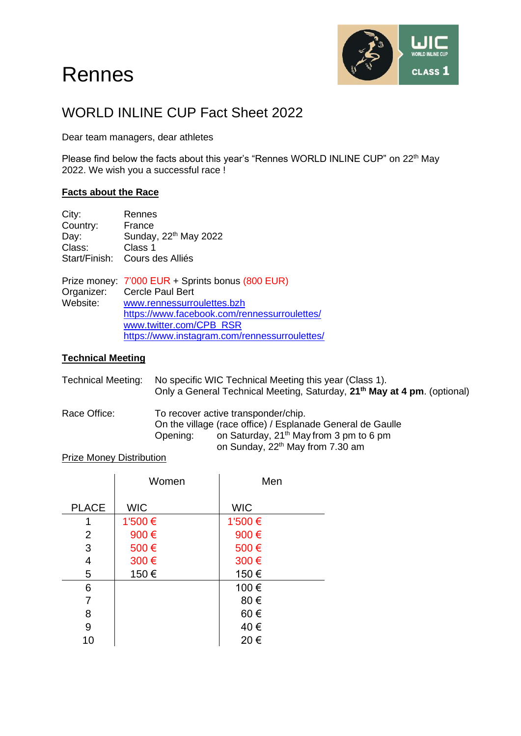# Rennes



## WORLD INLINE CUP Fact Sheet 2022

Dear team managers, dear athletes

Please find below the facts about this year's "Rennes WORLD INLINE CUP" on 22<sup>th</sup> May 2022. We wish you a successful race !

#### **Facts about the Race**

| City:         | Rennes                            |
|---------------|-----------------------------------|
| Country:      | France                            |
| Day:          | Sunday, 22 <sup>th</sup> May 2022 |
| Class:        | Class 1                           |
| Start/Finish: | Cours des Alliés                  |

Prize money: 7'000 EUR + Sprints bonus (800 EUR)<br>Organizer: Cercle Paul Bert Organizer: Cercle Paul Bert<br>Website: www.rennessurro [www.rennessurroulettes.bzh](http://www.rennessurroulettes.bzh/) <https://www.facebook.com/rennessurroulettes/> [www.twitter.com/CPB\\_RSR](http://www.twitter.com/CPB_RSR) <https://www.instagram.com/rennessurroulettes/>

#### **Technical Meeting**

| No specific WIC Technical Meeting this year (Class 1).<br>Only a General Technical Meeting, Saturday, 21 <sup>th</sup> May at 4 pm. (optional)                                                                       |  |
|----------------------------------------------------------------------------------------------------------------------------------------------------------------------------------------------------------------------|--|
| To recover active transponder/chip.<br>On the village (race office) / Esplanade General de Gaulle<br>on Saturday, 21 <sup>th</sup> May from 3 pm to 6 pm<br>Opening:<br>on Sunday, 22 <sup>th</sup> May from 7.30 am |  |
|                                                                                                                                                                                                                      |  |

#### Prize Money Distribution

|              | Women      | Men        |
|--------------|------------|------------|
| <b>PLACE</b> | <b>WIC</b> | <b>WIC</b> |
| 1            | 1'500€     | 1'500 €    |
| 2            | 900€       | 900€       |
| 3            | 500€       | 500€       |
| 4            | 300€       | 300€       |
| 5            | 150€       | 150€       |
| 6            |            | 100€       |
| 7            |            | 80€        |
| 8            |            | 60€        |
| 9            |            | 40€        |
| 10           |            | 20€        |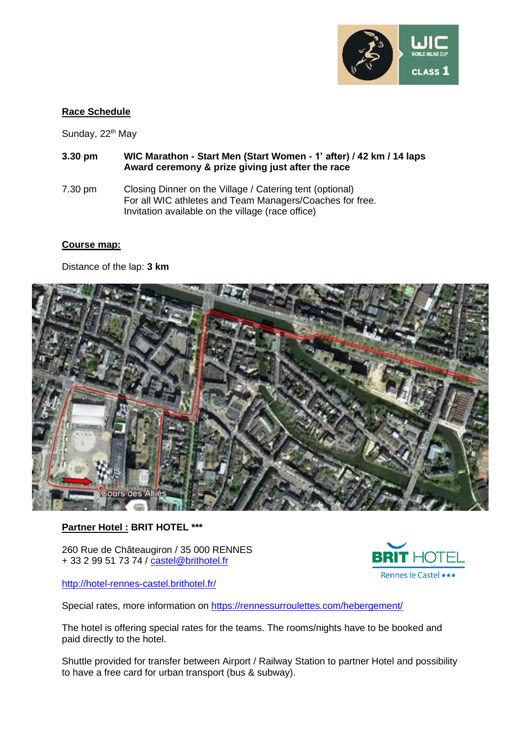

#### **Race Schedule**

Sunday, 22<sup>th</sup> May

- **3.30 pm WIC Marathon - Start Men (Start Women - 1' after) / 42 km / 14 laps Award ceremony & prize giving just after the race**
- 7.30 pm Closing Dinner on the Village / Catering tent (optional) For all WIC athletes and Team Managers/Coaches for free. Invitation available on the village (race office)

#### **Course map:**

Distance of the lap: **3 km**



#### **Partner Hotel : BRIT HOTEL \*\*\***

260 Rue de Châteaugiron / 35 000 RENNES + 33 2 99 51 73 74 / [castel@brithotel.fr](mailto:castel@brithotel.fr)



<http://hotel-rennes-castel.brithotel.fr/>

Special rates, more information on <https://rennessurroulettes.com/hebergement/>

The hotel is offering special rates for the teams. The rooms/nights have to be booked and paid directly to the hotel.

Shuttle provided for transfer between Airport / Railway Station to partner Hotel and possibility to have a free card for urban transport (bus & subway).